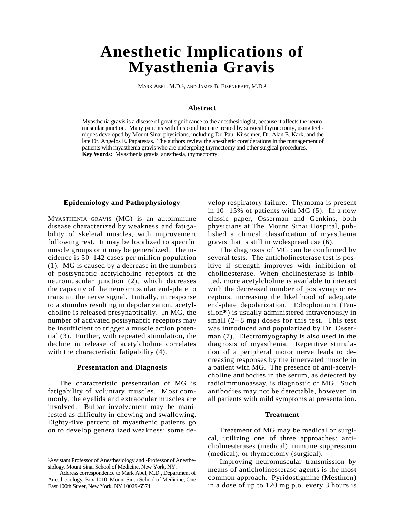# **Anesthetic Implications of Myasthenia Gravis**

MARK ABEL, M.D.1, AND JAMES B. EISENKRAFT, M.D.<sup>2</sup>

#### **Abstract**

Myasthenia gravis is a disease of great significance to the anesthesiologist, because it affects the neuromuscular junction. Many patients with this condition are treated by surgical thymectomy, using techniques developed by Mount Sinai physicians, including Dr. Paul Kirschner, Dr. Alan E. Kark, and the late Dr. Angelos E. Papatestas. The authors review the anesthetic considerations in the management of patients with myasthenia gravis who are undergoing thymectomy and other surgical procedures. **Key Words:** Myasthenia gravis, anesthesia, thymectomy.

## **Epidemiology and Pathophysiology**

MYASTHENIA GRAVIS (MG) is an autoimmune disease characterized by weakness and fatigability of skeletal muscles, with improvement following rest. It may be localized to specific muscle groups or it may be generalized. The incidence is 50–142 cases per million population (1). MG is caused by a decrease in the numbers of postsynaptic acetylcholine receptors at the neuromuscular junction (2), which decreases the capacity of the neuromuscular end-plate to transmit the nerve signal. Initially, in response to a stimulus resulting in depolarization, acetylcholine is released presynaptically. In MG, the number of activated postsynaptic receptors may be insufficient to trigger a muscle action potential (3). Further, with repeated stimulation, the decline in release of acetylcholine correlates with the characteristic fatigability  $(4)$ .

#### **Presentation and Diagnosis**

The characteristic presentation of MG is fatigability of voluntary muscles. Most commonly, the eyelids and extraocular muscles are involved. Bulbar involvement may be manifested as difficulty in chewing and swallowing. Eighty-five percent of myasthenic patients go on to develop generalized weakness; some develop respiratory failure. Thymoma is present in  $10-15\%$  of patients with MG  $(5)$ . In a now classic paper, Osserman and Genkins, both physicians at The Mount Sinai Hospital, published a clinical classification of myasthenia gravis that is still in widespread use (6).

The diagnosis of MG can be confirmed by several tests. The anticholinesterase test is positive if strength improves with inhibition of cholinesterase. When cholinesterase is inhibited, more acetylcholine is available to interact with the decreased number of postsynaptic receptors, increasing the likelihood of adequate end-plate depolarization. Edrophonium (Ten $silon<sup>®</sup>$ ) is usually administered intravenously in small  $(2-8$  mg) doses for this test. This test was introduced and popularized by Dr. Osserman (7). Electromyography is also used in the diagnosis of myasthenia. Repetitive stimulation of a peripheral motor nerve leads to decreasing responses by the innervated muscle in a patient with MG. The presence of anti-acetylcholine antibodies in the serum, as detected by radioimmunoassay, is diagnostic of MG. Such antibodies may not be detectable, however, in all patients with mild symptoms at presentation.

#### **Treatment**

Treatment of MG may be medical or surgical, utilizing one of three approaches: anticholinesterases (medical), immune suppression (medical), or thymectomy (surgical).

Improving neuromuscular transmission by means of anticholinesterase agents is the most common approach. Pyridostigmine (Mestinon) in a dose of up to 120 mg p.o. every 3 hours is

<sup>&</sup>lt;sup>1</sup>Assistant Professor of Anesthesiology and <sup>2</sup>Professor of Anesthesiology, Mount Sinai School of Medicine, New York, NY.

Address correspondence to Mark Abel, M.D., Department of An esthesiology, Box 1010, Mount Sinai School of Medicine, One East 100th Street, New York, NY 10029-6574.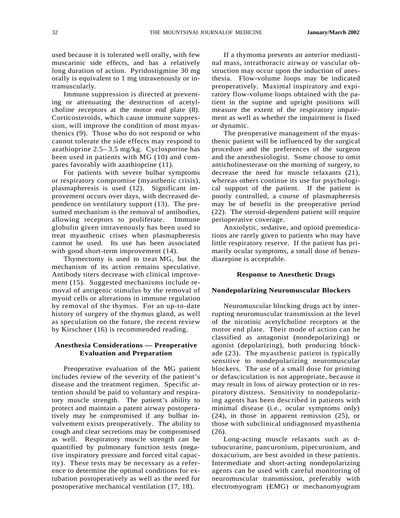used because it is tolerated well orally, with few muscarinic side effects, and has a relatively long duration of action. Pyridostigmine 30 mg orally is equivalent to 1 mg intravenously or intramuscularly.

Immune suppression is directed at preventing or attenuating the destruction of acetylcholine receptors at the motor end plate (8). Corticosteroids, which cause immune suppression, will improve the condition of most myasthenics (9). Those who do not respond or who cannot tolerate the side effects may respond to azathioprine 2.5– 3.5 mg/kg. Cyclosporine has been used in patients with MG (10) and compares favorably with azathioprine  $(11)$ .

For patients with severe bulbar symptoms or respiratory compromise (myasthenic crisis), plasmapheresis is used (12). Significant improvement occurs over days, with decreased dependence on ventilatory support (13). The presumed mechanism is the removal of antibodies, allowing receptors to proliferate. Immune globulin given intravenously has been used to treat myasthenic crises when plasmapheresis cannot be used. Its use has been associated with good short-term improvement  $(14)$ .

Thymectomy is used to treat MG, but the mechanism of its action remains speculative. Antibody titers decrease with clinical improvement (15). Suggested mechanisms include removal of antigenic stimulus by the removal of myoid cells or alterations in immune regulation by removal of the thymus. For an up-to-date history of surgery of the thymus gland, as well as speculation on the future, the recent review by Kirschner (16) is recommended reading.

## **Anesthesia Considerations — Preoperative Evaluation and Preparation**

Preoperative evaluation of the MG patient includes review of the severity of the patient's disease and the treatment regimen. Specific attention should be paid to voluntary and respiratory muscle strength. The patient's ability to protect and maintain a patent airway postoperatively may be compromised if any bulbar involvement exists preoperatively. The ability to cough and clear secretions may be compromised as well. Respiratory muscle strength can be quantified by pulmonary function tests (negative inspiratory pressure and forced vital capacity). These tests may be necessary as a reference to determine the optimal conditions for extubation postoperatively as well as the need for postoperative mechanical ventilation (17, 18).

If a thymoma presents an anterior mediastinal mass, intrathoracic airway or vascular obstruction may occur upon the induction of anesthesia. Flow-volume loops may be indicated preoperatively. Maximal inspiratory and expiratory flow-volume loops obtained with the patient in the supine and upright positions will measure the extent of the respiratory impairment as well as whether the impairment is fixed or dynamic.

The preoperative management of the myasthenic patient will be influenced by the surgical procedure and the preferences of the surge on and the anesthesiologist. Some choose to omit anticholinesterase on the morning of surgery, to decrease the need for muscle relaxants (21), whereas others continue its use for psychological support of the patient. If the patient is poorly controlled, a course of plasmapheresis may be of benefit in the preoperative period (22). The steroid-dependent patient will require perioperative coverage.

Anxiolytic, sedative, and opioid premedications are rarely given to patients who may have little respiratory reserve. If the patient has primarily ocular symptoms, a small dose of benzodiazepine is acceptable.

## **Response to Anesthetic Drugs**

#### **Nondepolarizing Neuromuscular Blockers**

Neuromuscular blocking drugs act by interrupting neuromuscular transmission at the level of the nicotinic acetylcholine receptors at the motor end plate. Their mode of action can be classified as antagonist (nondepolarizing) or agonist (depolarizing), both producing blockade (23). The myasthenic patient is typically sensitive to nondepolarizing neuromuscular blockers. The use of a small dose for priming or defasciculation is not appropriate, because it may result in loss of airway protection or in respiratory distress. Sensitivity to nondepolarizing agents has been described in patients with minimal disease (i.e., ocular symptoms only) (24), in those in apparent remission (25), or those with subclinical undiagnosed myasthenia  $(26).$ 

Long-acting muscle relaxants such as dtubocurarine, pancuronium, pipecuronium, and doxacurium, are best avoided in these patients. Intermediate and short-acting nondepolarizing agents can be used with careful monitoring of neuromuscular transmission, preferably with electromyogram (EMG) or mechanomyogram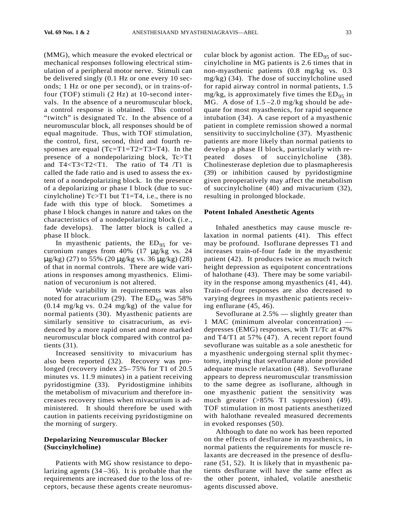(MMG), which measure the evoked electrical or mechanical responses following electrical stimulation of a peripheral motor nerve. Stimuli can be delivered singly (0.1 Hz or one every 10 seconds; 1 Hz or one per second), or in trains-offour (TOF) stimuli (2 Hz) at 10-second intervals. In the absence of a neuromuscular block, a control response is obtained. This control "twitch" is designated Tc. In the absence of a neuromuscular block, all responses should be of equal magnitude. Thus, with TOF stimulation, the control, first, second, third and fourth responses are equal  $(Tc=T1=T2=T3=T4)$ . In the presence of a nondepolarizing block,  $Tc > T1$ and T4<T3<T2<T1. The ratio of T4 /T1 is called the fade ratio and is used to assess the extent of a nondepolarizing block. In the presence of a depolarizing or phase I block (due to succinylcholine)  $Tc > T1$  but  $T1=T4$ , i.e., there is no fade with this type of block. Sometimes a phase I block changes in nature and takes on the characteristics of a nondepolarizing block (i.e., fade develops). The latter block is called a phase II block.

In myasthenic patients, the  $ED_{95}$  for vecuronium ranges from 40% (17 μg/kg vs. 24 μg/kg) (27) to 55% (20 μg/kg vs. 36 μg/kg) (28) of that in normal controls. There are wide variations in responses among myasthenics. Elimination of vecuronium is not altered.

Wide variability in requirements was also noted for atracurium (29). The  $ED_{95}$  was 58% (0.14 mg/kg vs. 0.24 mg/kg) of the value for normal patients (30). Myasthenic patients are similarly sensitive to cisatracurium, as evidenced by a more rapid onset and more marked neuromuscular block compared with control patients (31).

Increased sensitivity to mivacurium has also been reported (32). Recovery was prolonged (recovery index 25– 75% for T1 of 20.5 minutes vs. 11.9 minutes) in a patient receiving pyridostigmine (33). Pyridostigmine inhibits the metabolism of mivacurium and therefore increases recovery times when mivacurium is administered. It should therefore be used with caution in patients receiving pyridostigmine on the morning of surgery.

## **Depolarizing Neuromuscular Blocker ( S u c c i n y l c h o l i n e )**

Patients with MG show resistance to depolarizing agents (34 –36). It is probable that the requirements are increased due to the loss of receptors, because these agents create neuromuscular block by agonist action. The  $ED_{95}$  of succinylcholine in MG patients is 2.6 times that in non-myasthenic patients (0.8 mg/kg vs. 0.3 mg/kg) (34). The dose of succinylcholine used for rapid airway control in normal patients, 1.5 mg/kg, is approximately five times the  $ED_{95}$  in MG. A dose of  $1.5 - 2.0$  mg/kg should be adequate for most myasthenics, for rapid sequence intubation (34). A case report of a myasthenic patient in complete remission showed a normal sensitivity to succinylcholine (37). Myasthenic patients are more likely than normal patients to develop a phase II block, particularly with repeated doses of succinylcholine (38). Cholinesterase depletion due to plasmapheresis (39) or inhibition caused by pyridostigmine given preoperatively may affect the metabolism of succinylcholine (40) and mivacurium (32), resulting in prolonged blockade.

## **Potent Inhaled Anesthetic Agents**

Inhaled anesthetics may cause muscle relaxation in normal patients  $(41)$ . This effect may be profound. Isoflurane depresses T1 and increases train-of-four fade in the myasthenic patient (42). It produces twice as much twitch height depression as equipotent concentrations of halothane (43). There may be some variability in the response among myasthenics (41, 44). Train-of-four responses are also decreased to varying degrees in myasthenic patients receiving enflurane (45, 46).

Sevoflurane at 2.5% — slightly greater than 1 MAC (minimum alveolar concentration) depresses (EMG) responses, with  $T1/Tc$  at 47% and T4/T1 at 57% (47). A recent report found sevoflurane was suitable as a sole anesthetic for a myasthenic undergoing sternal split thymectomy, implying that sevoflurane alone provided adequate muscle relaxation (48). Sevoflurane appears to depress neuromuscular transmission to the same degree as isoflurane, although in one myasthenic patient the sensitivity was much greater (>85% T1 suppression) (49). TOF stimulation in most patients anesthetized with halothane revealed measured decrements in evoked responses (50).

Although to date no work has been reported on the effects of desflurane in myasthenics, in normal patients the requirements for muscle relaxants are decreased in the presence of desflurane (51, 52). It is likely that in myasthenic patients desflurane will have the same effect as the other potent, inhaled, volatile anesthetic agents discussed above.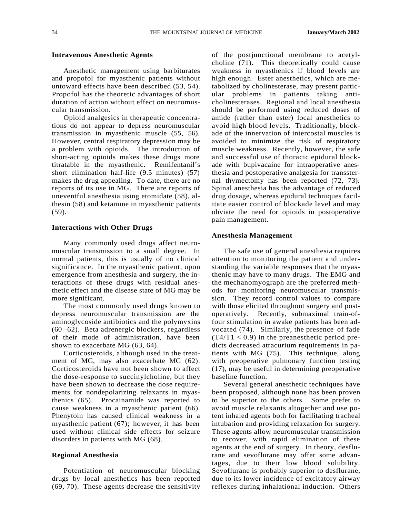## **Intravenous Anesthetic Agents**

Anesthetic management using barbiturates and propofol for myasthenic patients without untoward effects have been described (53, 54). Propofol has the theoretic advantages of short duration of action without effect on neuromuscular transmission.

Opioid analgesics in therapeutic concentrations do not appear to depress neuromuscular transmission in myasthenic muscle (55, 56). However, central respiratory depression may be a problem with opioids. The introduction of short-acting opioids makes these drugs more titratable in the myasthenic. Remifentanil's short elimination half-life (9.5 minutes) (57) makes the drug appealing. To date, there are no reports of its use in MG. There are reports of uneventful anesthesia using etomidate (58), althesin (58) and ketamine in myasthenic patients  $(59)$ .

#### **Interactions with Other Drugs**

Many commonly used drugs affect neuromuscular transmission to a small degree. In normal patients, this is usually of no clinical significance. In the myasthenic patient, upon emergence from anesthesia and surgery, the interactions of these drugs with residual anesthetic effect and the disease state of MG may be more significant.

The most commonly used drugs known to depress neuromuscular transmission are the aminoglycoside antibiotics and the polymyxins  $(60 - 62)$ . Beta adrenergic blockers, regardless of their mode of administration, have been shown to exacerbate MG (63, 64).

Corticosteroids, although used in the treatment of MG, may also exacerbate MG (62). Corticosteroids have not been shown to affect the dose-response to succinylcholine, but they have been shown to decrease the dose requirements for nondepolarizing relaxants in myasthenics (65). Procainamide was reported to cause weakness in a myasthenic patient (66). Phenytoin has caused clinical weakness in a myasthenic patient (67); however, it has been used without clinical side effects for seizure disorders in patients with MG (68).

#### **Regional Anesthesia**

Potentiation of neuromuscular blocking drugs by local anesthetics has been reported (69, 70). These agents decrease the sensitivity of the postjunctional membrane to acetylcholine (71). This theoretically could cause weakness in myasthenics if blood levels are high enough. Ester anesthetics, which are metabolized by cholinesterase, may present particular problems in patients taking anticholinesterases. Regional and local anesthesia should be performed using reduced doses of amide (rather than ester) local anesthetics to avoid high blood levels. Traditionally, blockade of the innervation of intercostal muscles is avoided to minimize the risk of respiratory muscle weakness. Recently, however, the safe and successful use of thoracic epidural blockade with bupivacaine for intraoperative anesthesia and postoperative analgesia for transsternal thymectomy has been reported (72, 73). Spinal anesthesia has the advantage of reduced drug dosage, whereas epidural techniques facilitate easier control of blockade level and may obviate the need for opioids in postoperative pain management.

#### **Anesthesia Management**

The safe use of general anesthesia requires attention to monitoring the patient and understanding the variable responses that the myasthenic may have to many drugs. The EMG and the mechanomyograph are the preferred methods for monitoring neuromuscular transmission. They record control values to compare with those elicited throughout surgery and postoperatively. Recently, submaximal train-offour stimulation in awake patients has been advocated (74). Similarly, the presence of fade  $(T4/T1 < 0.9)$  in the preanesthetic period predicts decreased atracurium requirements in patients with MG (75). This technique, along with preoperative pulmonary function testing (17), may be useful in determining preoperative baseline function.

Several general anesthetic techniques have been proposed, although none has been proven to be superior to the others. Some prefer to avoid muscle relaxants altogether and use potent inhaled agents both for facilitating tracheal intubation and providing relaxation for surgery. These agents allow neuromuscular transmission to recover, with rapid elimination of these agents at the end of surgery. In theory, desflurane and sevoflurane may offer some advantages, due to their low blood solubility. Sevoflurane is probably superior to desflurane, due to its lower incidence of excitatory airway reflexes during inhalational induction. Others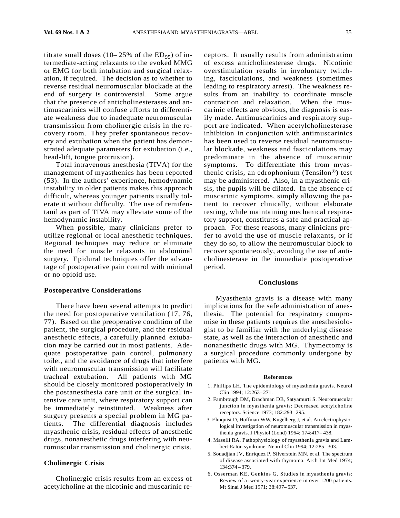titrate small doses (10–25% of the  $ED_{95}$ ) of intermediate-acting relaxants to the evoked MMG or EMG for both intubation and surgical relaxation, if required. The decision as to whether to reverse residual neuromuscular blockade at the end of surgery is controversial. Some argue that the presence of anticholinesterases and antimuscarinics will confuse efforts to differentiate weakness due to inadequate neuromuscular transmission from cholinergic crisis in the recovery room. They prefer spontaneous recovery and extubation when the patient has demonstrated adequate parameters for extubation (i.e., head-lift, tongue protrusion).

Total intravenous anesthesia (TIVA) for the management of myasthenics has been reported (53). In the authors' experience, hemodynamic instability in older patients makes this approach difficult, whereas younger patients usually tolerate it without difficulty. The use of remifentanil as part of TIVA may alleviate some of the hemodynamic instability.

When possible, many clinicians prefer to utilize regional or local anesthetic techniques. Regional techniques may reduce or eliminate the need for muscle relaxants in abdominal surgery. Epidural techniques offer the advantage of postoperative pain control with minimal or no opioid use.

#### **Postoperative Considerations**

There have been several attempts to predict the need for postoperative ventilation (17, 76, 77). Based on the preoperative condition of the patient, the surgical procedure, and the residual anesthetic effects, a carefully planned extubation may be carried out in most patients. Adequate postoperative pain control, pulmonary toilet, and the avoidance of drugs that interfere with neuromuscular transmission will facilitate tracheal extubation. All patients with MG should be closely monitored postoperatively in the postanesthesia care unit or the surgical intensive care unit, where respiratory support can be immediately reinstituted. Weakness after surgery presents a special problem in MG patients. The differential diagnosis includes myasthenic crisis, residual effects of anesthetic drugs, nonanesthetic drugs interfering with neuromuscular transmission and cholinergic crisis.

#### **Cholinergic Crisis**

Cholinergic crisis results from an excess of acetylcholine at the nicotinic and muscarinic receptors. It usually results from administration of excess anticholinesterase drugs. Nicotinic overstimulation results in involuntary twitching, fasciculations, and weakness (sometimes leading to respiratory arrest). The weakness results from an inability to coordinate muscle contraction and relaxation. When the muscarinic effects are obvious, the diagnosis is easily made. Antimuscarinics and respiratory support are indicated. When acetylcholinesterase inhibition in conjunction with antimuscarinics has been used to reverse residual neuromuscular blockade, weakness and fasciculations may predominate in the absence of muscarinic symptoms. To differentiate this from myasthenic crisis, an edrophonium (Tensilon®) test may be administered. Also, in a myasthenic crisis, the pupils will be dilated. In the absence of muscarinic symptoms, simply allowing the patient to recover clinically, without elaborate testing, while maintaining mechanical respiratory support, constitutes a safe and practical approach. For these reasons, many clinicians prefer to avoid the use of muscle relaxants, or if they do so, to allow the neuromuscular block to recover spontaneously, avoiding the use of anticholinesterase in the immediate postoperative period.

#### **Conclusions**

Myasthenia gravis is a disease with many implications for the safe administration of anesthesia. The potential for respiratory compromise in these patients requires the anesthesiologist to be familiar with the underlying disease state, as well as the interaction of anesthetic and nonanesthetic drugs with MG. Thymectomy is a surgical procedure commonly undergone by patients with MG.

#### **References**

- 1. Phillips LH. The epidemiology of myasthenia gravis. Neurol Clin 1994; 12:263-271.
- 2. Fambrough DM, Drachman DB, Satyamurti S. Neuromuscular junction in myasthenia gravis: Decreased acetylcholine receptors. Science 1973; 182:293-295.
- 3. Elmquist D, Hoffman WW, Kugelberg J, et al. An electrophysiological investigation of neuromuscular transmission in myasthenia gravis. J Physiol (Lond) 1964; 174:417–438.
- 4. Maselli RA. Pathophysiology of myasthenia gravis and Lambert-Eaton syndrome. Neurol Clin 1994; 12:285-303.
- 5. Souadjian JV, Enriquez P, Silverstein MN, et al. The spectrum of disease associated with thymoma. Arch Int Med 1974;  $134.374 - 379$
- 6. Osserman KE, Genkins G. Studies in myasthenia gravis: Review of a twenty-year experience in over 1200 patients. Mt Sinai J Med 1971; 38:497-537.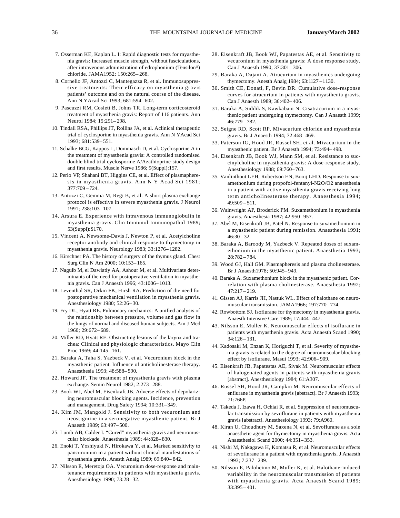- 7. Osserman KE, Kaplan L. I: Rapid diagnostic tests for myasthenia gravis: Increased muscle strength, without fasciculations, after intravenous administration of edrophonium (Tensilon®) chloride. JAMA1952; 150:265-268.
- 8. Cornelio JF, Antozzi C, Mantegazza R, et al. Immunosuppressive treatments: Their efficacy on myasthenia gravis patients' outcome and on the natural course of the disease. Ann N YAcad Sci 1993; 681:594-602.
- 9. Pascuzzi RM, Coslett B, Johns TR. Long-term corticosteroid treatment of myasthenia gravis: Report of 116 patients. Ann Neurol 1984; 15:291-298.
- 10. Tindall RSA, Phillips JT, Rollins JA, et al. Aclinical therapeutic trial of cyclosporine in myasthenia gravis. Ann N YAcad Sci 1993; 681:539-551.
- 11. Schalke BCG, Kappos L, Dommasch D, et al. Cyclosporine A in the treatment of myasthenia gravis: A controlled randomised double blind trial cyclosporine A/Azathioprine-study design and first results. Muscle Nerve 1986; 9(Suppl):157.
- 12. Perlo VP, Shahani BT, Higgins CE, et al. Effect of plasmapheresis in myasthenia gravis. Ann N Y Acad Sci 1981; 377:709 - 724.
- 13. Antozzi C, Gemma M, Regi B, et al. A short plasma exchange protocol is effective in severe myasthenia gravis. J Neurol 1991: 238:103-107.
- 14. Arsura E. Experience with intravenous immunoglobulin in myasthenia gravis. Clin Immunol Immunopathol 1989; 53(Suppl): S170.
- 15. Vincent A, Newsome-Davis J, Newton P, et al. Acetylcholine receptor antibody and clinical response to thymectomy in myasthenia gravis. Neurology 1983; 33:1276-1282.
- 16. Kirschner PA. The history of surgery of the thymus gland. Chest Surg Clin N Am 2000; 10:153-165.
- 17. Naguib M, el Dawlatly AA, Ashour M, et al. Multivariate determinants of the need for postoperative ventilation in myasthenia gravis. Can J Anaesth 1996; 43:1006-1013.
- 18. Leventhal SR, Orkin FK, Hirsh RA. Prediction of the need for postoperative mechanical ventilation in myasthenia gravis. Anesthesiology 1980; 52:26-30.
- 19. Fry DL, Hyatt RE. Pulmonary mechanics: A unified analysis of the relationship between pressure, volume and gas flow in the lungs of normal and diseased human subjects. Am J Med 1960: 29:672-689.
- 20. Miller RD, Hyatt RE. Obstructing lesions of the larynx and trachea: Clinical and physiologic characteristics. Mayo Clin Proc 1969; 44:145-161.
- 21. Baraka A, Taha S, Yazbeck V, et al. Vecuronium block in the myasthenic patient. Influence of anticholinesterase therapy. Anaesthesia 1993; 48:588-590.
- 22. Howard JF. The treatment of myasthenia gravis with plasma exchange. Semin Neurol 1982; 2:273-288.
- 23. Book WJ, Abel M, Eisenkraft JB. Adverse effects of depolarizing neuromuscular blocking agents. Incidence, prevention and management. Drug Safety 1994; 10:331-349.
- 24. Kim JM, Mangold J. Sensitivity to both vecuronium and neostigmine in a seronegative myasthenic patient. Br J Anaesth 1989; 63:497-500.
- 25. Lumb AB, Calder I. "Cured" myasthenia gravis and neuromuscular blockade. Anaesthesia 1989; 44:828-830.
- 26. Enoki T, Yoshiyuki N, Hirokawa Y, et al. Marked sensitivity to pancuronium in a patient without clinical manifestations of myasthenia gravis. Anesth Analg 1989; 69:840-842.
- 27. Nilsson E, Meretoja OA. Vecuronium dose-response and maintenance requirements in patients with myasthenia gravis. Anesthesiology 1990; 73:28-32.
- 28. Eisenkraft JB, Book WJ, Papatestas AE, et al. Sensitivity to vecuronium in myasthenia gravis: A dose response study. Can J Anaesth 1990; 37:301-306.
- 29. Baraka A, Dajani A. Atracurium in myasthenics undergoing thy mectomy. An esth Analg  $1984$ ;  $63:1127 - 1130$ .
- 30. Smith CE, Donati, F, Bevin DR. Cumulative dose-response curves for atracurium in patients with myasthenia gravis. Can J Anaesth 1989; 36:402-406.
- 31. Baraka A, Siddik S, Kawkabani N. Cisatracurium in a myasthenic patient undergoing thymectomy. Can J Anaesth 1999; 46:779 - 782.
- 32. Seigne RD, Scott RP. Mivacurium chloride and myasthenia gravis. Br J Anaesth 1994; 72:468-469.
- 33. Paterson IG, Hood JR, Russel SH, et al. Mivacurium in the myasthenic patient. Br J Anaesth 1994; 73:494-498.
- 34. Eisenkraft JB, Book WJ, Mann SM, et al. Resistance to succinylcholine in myasthenia gravis: A dose-response study. Anesthesiology 1988; 69:760-763.
- 35. Vanlinthout LEH, Robertson EN, Booij LHD. Response to suxamethonium during propofol-fentanyl-N2O/O2 anaesthesia in a patient with active myasthenia gravis receiving long term anticholinesterase therapy. Anaesthesia 1994;  $49:509 - 511.$
- 36. Wainwright AP, Broderick PM. Suxamethonium in myasthenia gravis. Anaesthesia 1987; 42:950-957.
- 37. Abel M, Eisenkraft JB, Patel N. Response to suxamethonium in a myasthenic patient during remission. Anaesthesia 1991;  $46:30 - 32.$
- 38. Baraka A, Baroody M, Yazbeck V. Repeated doses of suxamethonium in the myasthenic patient. Anaesthesia 1993; 28:782 - 784.
- 39. Wood GJ, Hall GM. Plasmapheresis and plasma cholinesterase. Br J Anaesth1978; 50:945-949.
- 40. Baraka A. Suxamethonium block in the myasthenic patient. Correlation with plasma cholinesterase. Anaesthesia 1992;  $47:217 - 219.$
- 41. Gissen AJ, Karris JH, Nastuk WL. Effect of halothane on neuromuscular transmission. JAMA1966; 197:770-774.
- 42. Rowbottom SJ. Isoflurane for thymectomy in myasthenia gravis. Anaesth Intensive Care 1989; 17:444-447.
- 43. Nilsson E, Muller K. Neuromuscular effects of isoflurane in patients with myasthenia gravis. Acta Anaesth Scand 1990;  $34:126 - 131.$
- 44. Kadosaki M, Enzan K, Horiguchi T, et al. Severity of myasthenia gravis is related to the degree of neuromuscular blocking effect by isoflurane. Masui 1993; 42:906-909.
- 45. Eisenkraft JB, Papatestas AE, Sivak M. Neuromuscular effects of halogenated agents in patients with myasthenia gravis [abstract]. Anesthesiology 1984; 61:A307.
- 46. Russel SH, Hood JR, Campkin M. Neuromuscular effects of enflurane in myasthenia gravis [abstract]. Br J Anaesth 1993;  $71:766P.$
- 47. Takeda J, Izawa H, Ochiai R, et al. Suppression of neuromuscular transmission by sevoflurane in patients with myasthenia gravis [abstract]. Anesthesiology 1993; 79:A960.
- 48. Kiran U, Choudhury M, Saxena N, et al. Sevoflurane as a sole anaesthetic agent for thymectomy in myasthenia gravis. Acta Anaesthesiol Scand 2000; 44:351-353.
- 49. Nishi M, Nakagawa H, Komatsu R, et al. Neuromuscular effects of sevoflurane in a patient with myasthenia gravis. J Anaesth 1993; 7:237-239.
- 50. Nilsson E, Paloheimo M, Muller K, et al. Halothane-induced variability in the neuromuscular transmission of patients with myasthenia gravis. Acta Anaesth Scand 1989;  $33:395 - 401.$